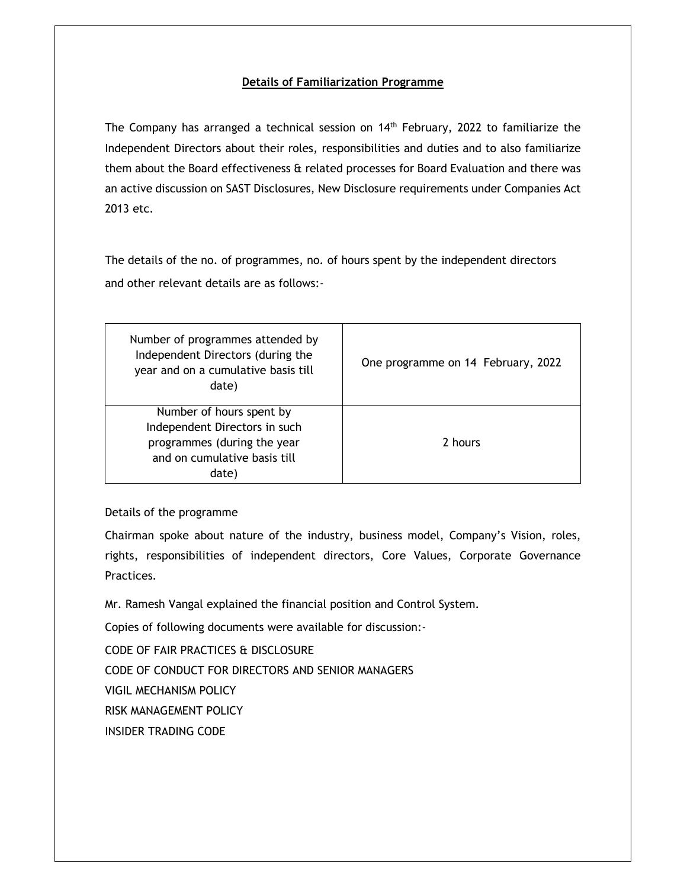The Company has arranged a technical session on  $14<sup>th</sup>$  February, 2022 to familiarize the Independent Directors about their roles, responsibilities and duties and to also familiarize them about the Board effectiveness & related processes for Board Evaluation and there was an active discussion on SAST Disclosures, New Disclosure requirements under Companies Act 2013 etc.

The details of the no. of programmes, no. of hours spent by the independent directors and other relevant details are as follows:-

| Number of programmes attended by<br>Independent Directors (during the<br>year and on a cumulative basis till<br>date)             | One programme on 14 February, 2022 |
|-----------------------------------------------------------------------------------------------------------------------------------|------------------------------------|
| Number of hours spent by<br>Independent Directors in such<br>programmes (during the year<br>and on cumulative basis till<br>date) | 2 hours                            |

### Details of the programme

Chairman spoke about nature of the industry, business model, Company's Vision, roles, rights, responsibilities of independent directors, Core Values, Corporate Governance Practices.

Mr. Ramesh Vangal explained the financial position and Control System.

Copies of following documents were available for discussion:-

CODE OF FAIR PRACTICES & DISCLOSURE

CODE OF CONDUCT FOR DIRECTORS AND SENIOR MANAGERS

VIGIL MECHANISM POLICY

RISK MANAGEMENT POLICY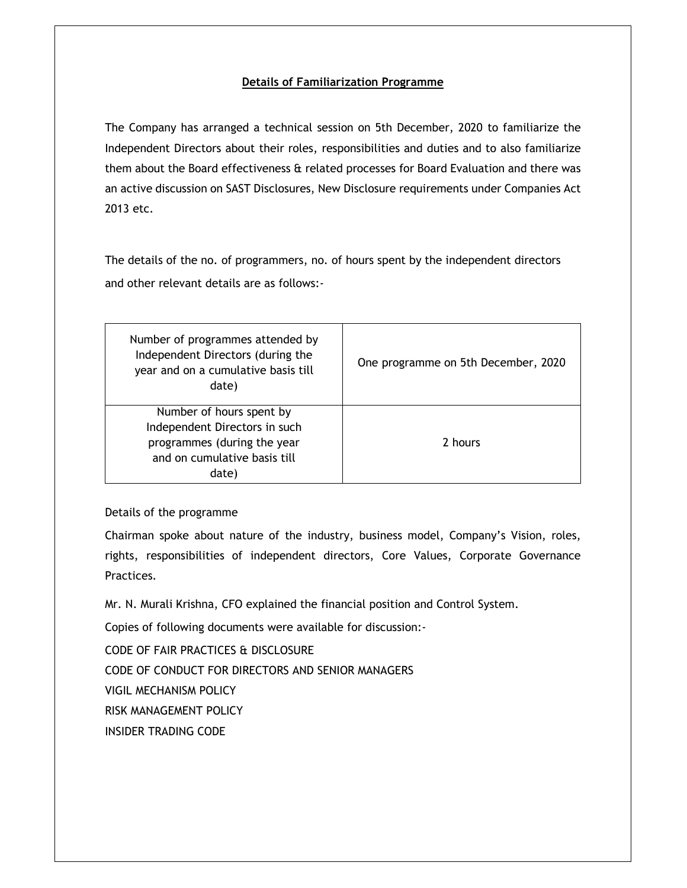The Company has arranged a technical session on 5th December, 2020 to familiarize the Independent Directors about their roles, responsibilities and duties and to also familiarize them about the Board effectiveness & related processes for Board Evaluation and there was an active discussion on SAST Disclosures, New Disclosure requirements under Companies Act 2013 etc.

The details of the no. of programmers, no. of hours spent by the independent directors and other relevant details are as follows:-

| Number of programmes attended by<br>Independent Directors (during the<br>year and on a cumulative basis till<br>date)             | One programme on 5th December, 2020 |
|-----------------------------------------------------------------------------------------------------------------------------------|-------------------------------------|
| Number of hours spent by<br>Independent Directors in such<br>programmes (during the year<br>and on cumulative basis till<br>date) | 2 hours                             |

### Details of the programme

Chairman spoke about nature of the industry, business model, Company's Vision, roles, rights, responsibilities of independent directors, Core Values, Corporate Governance Practices.

Mr. N. Murali Krishna, CFO explained the financial position and Control System.

Copies of following documents were available for discussion:-

CODE OF FAIR PRACTICES & DISCLOSURE

CODE OF CONDUCT FOR DIRECTORS AND SENIOR MANAGERS

VIGIL MECHANISM POLICY

RISK MANAGEMENT POLICY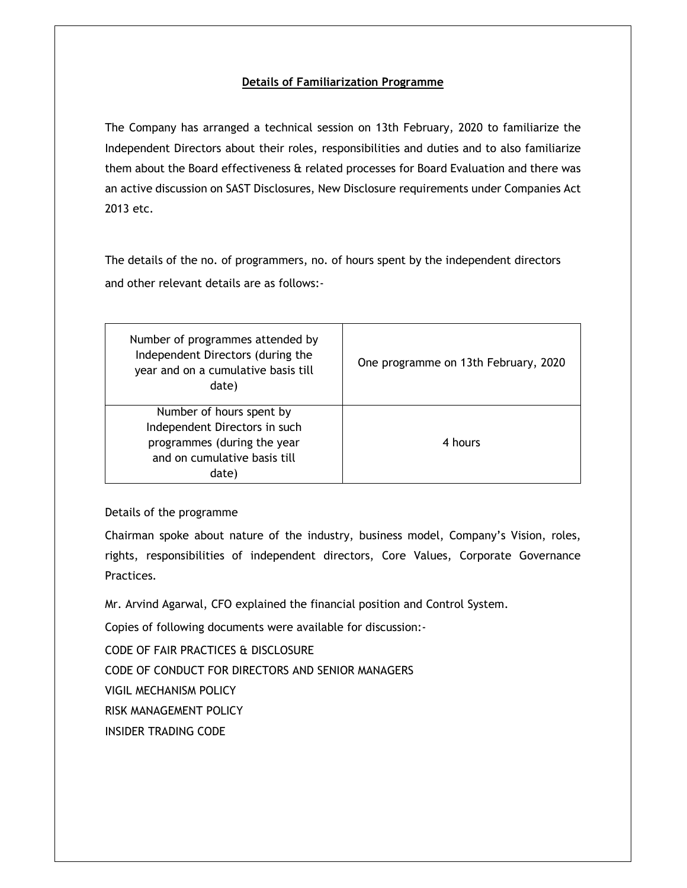The Company has arranged a technical session on 13th February, 2020 to familiarize the Independent Directors about their roles, responsibilities and duties and to also familiarize them about the Board effectiveness & related processes for Board Evaluation and there was an active discussion on SAST Disclosures, New Disclosure requirements under Companies Act 2013 etc.

The details of the no. of programmers, no. of hours spent by the independent directors and other relevant details are as follows:-

| Number of programmes attended by<br>Independent Directors (during the<br>year and on a cumulative basis till<br>date)             | One programme on 13th February, 2020 |
|-----------------------------------------------------------------------------------------------------------------------------------|--------------------------------------|
| Number of hours spent by<br>Independent Directors in such<br>programmes (during the year<br>and on cumulative basis till<br>date) | 4 hours                              |

### Details of the programme

Chairman spoke about nature of the industry, business model, Company's Vision, roles, rights, responsibilities of independent directors, Core Values, Corporate Governance Practices.

Mr. Arvind Agarwal, CFO explained the financial position and Control System.

Copies of following documents were available for discussion:-

CODE OF FAIR PRACTICES & DISCLOSURE

CODE OF CONDUCT FOR DIRECTORS AND SENIOR MANAGERS

VIGIL MECHANISM POLICY

RISK MANAGEMENT POLICY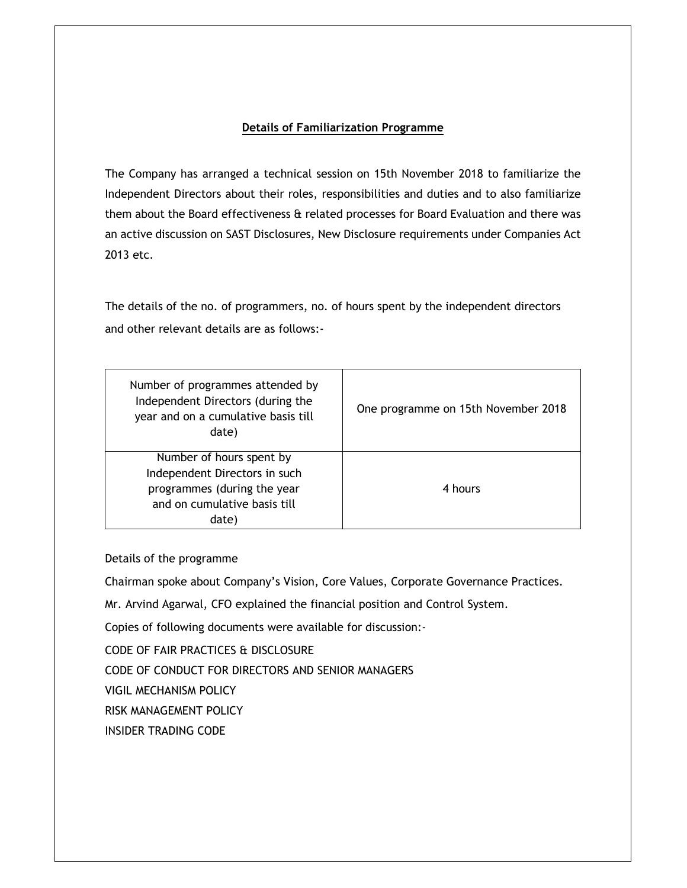The Company has arranged a technical session on 15th November 2018 to familiarize the Independent Directors about their roles, responsibilities and duties and to also familiarize them about the Board effectiveness & related processes for Board Evaluation and there was an active discussion on SAST Disclosures, New Disclosure requirements under Companies Act 2013 etc.

The details of the no. of programmers, no. of hours spent by the independent directors and other relevant details are as follows:-

| Number of programmes attended by<br>Independent Directors (during the<br>year and on a cumulative basis till<br>date)             | One programme on 15th November 2018 |
|-----------------------------------------------------------------------------------------------------------------------------------|-------------------------------------|
| Number of hours spent by<br>Independent Directors in such<br>programmes (during the year<br>and on cumulative basis till<br>date) | 4 hours                             |

Details of the programme

Chairman spoke about Company's Vision, Core Values, Corporate Governance Practices.

Mr. Arvind Agarwal, CFO explained the financial position and Control System.

Copies of following documents were available for discussion:-

CODE OF FAIR PRACTICES & DISCLOSURE

CODE OF CONDUCT FOR DIRECTORS AND SENIOR MANAGERS

VIGIL MECHANISM POLICY

RISK MANAGEMENT POLICY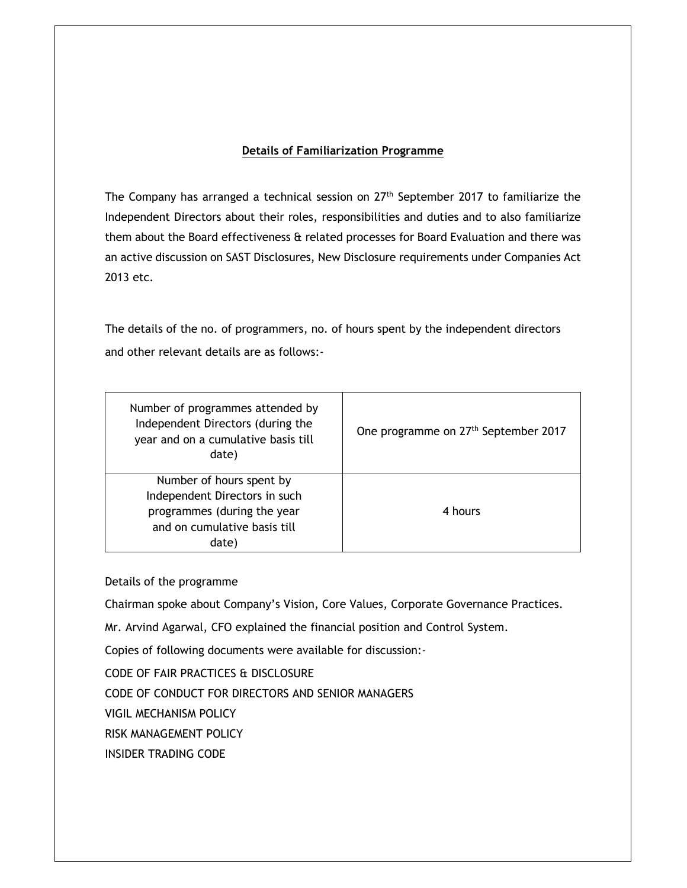The Company has arranged a technical session on 27<sup>th</sup> September 2017 to familiarize the Independent Directors about their roles, responsibilities and duties and to also familiarize them about the Board effectiveness & related processes for Board Evaluation and there was an active discussion on SAST Disclosures, New Disclosure requirements under Companies Act 2013 etc.

The details of the no. of programmers, no. of hours spent by the independent directors and other relevant details are as follows:-

| Number of programmes attended by<br>Independent Directors (during the<br>year and on a cumulative basis till<br>date)             | One programme on 27 <sup>th</sup> September 2017 |
|-----------------------------------------------------------------------------------------------------------------------------------|--------------------------------------------------|
| Number of hours spent by<br>Independent Directors in such<br>programmes (during the year<br>and on cumulative basis till<br>date) | 4 hours                                          |

Details of the programme

Chairman spoke about Company's Vision, Core Values, Corporate Governance Practices.

Mr. Arvind Agarwal, CFO explained the financial position and Control System.

Copies of following documents were available for discussion:-

CODE OF FAIR PRACTICES & DISCLOSURE

CODE OF CONDUCT FOR DIRECTORS AND SENIOR MANAGERS

VIGIL MECHANISM POLICY

RISK MANAGEMENT POLICY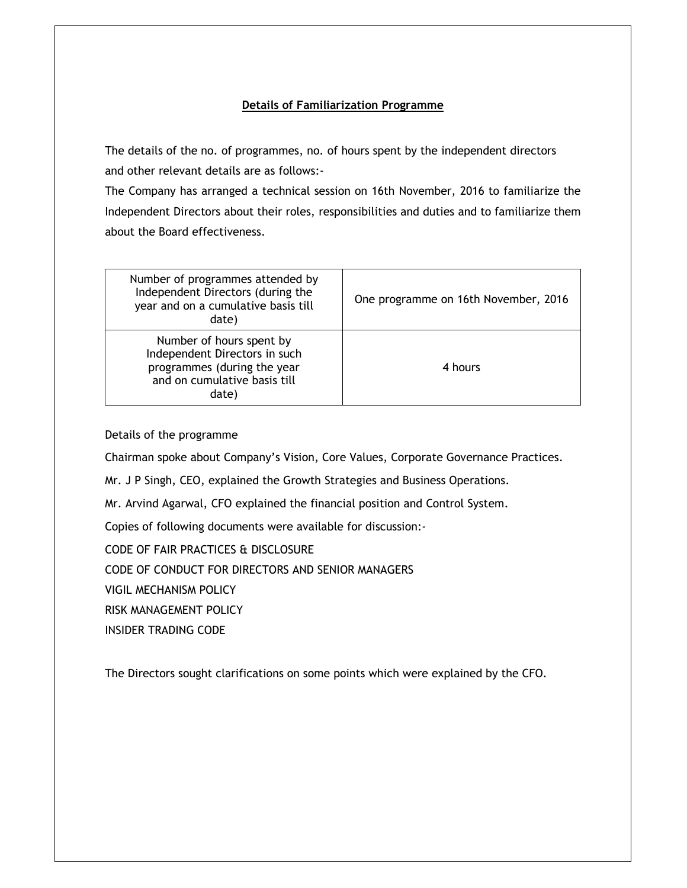The details of the no. of programmes, no. of hours spent by the independent directors and other relevant details are as follows:-

The Company has arranged a technical session on 16th November, 2016 to familiarize the Independent Directors about their roles, responsibilities and duties and to familiarize them about the Board effectiveness.

| Number of programmes attended by<br>Independent Directors (during the<br>year and on a cumulative basis till<br>date)             | One programme on 16th November, 2016 |
|-----------------------------------------------------------------------------------------------------------------------------------|--------------------------------------|
| Number of hours spent by<br>Independent Directors in such<br>programmes (during the year<br>and on cumulative basis till<br>date) | 4 hours                              |

Details of the programme

Chairman spoke about Company's Vision, Core Values, Corporate Governance Practices.

Mr. J P Singh, CEO, explained the Growth Strategies and Business Operations.

Mr. Arvind Agarwal, CFO explained the financial position and Control System.

Copies of following documents were available for discussion:-

CODE OF FAIR PRACTICES & DISCLOSURE

CODE OF CONDUCT FOR DIRECTORS AND SENIOR MANAGERS

VIGIL MECHANISM POLICY

RISK MANAGEMENT POLICY

INSIDER TRADING CODE

The Directors sought clarifications on some points which were explained by the CFO.